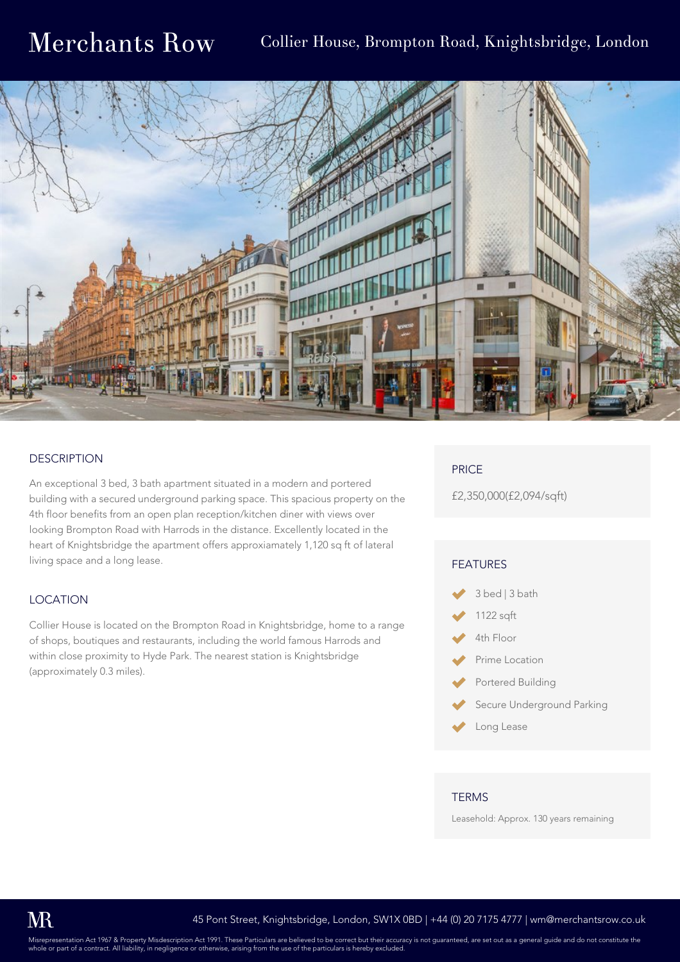# Collier House, Brompton Road, Knightsbridge, London



## **DESCRIPTION**

An exceptional 3 bed, 3 bath apartment situated in a modern and portered building with a secured underground parking space. This spacious property on the 4th floor benefits from an open plan reception/kitchen diner with views over looking Brompton Road with Harrods in the distance. Excellently located in the heart of Knightsbridge the apartment offers approxiamately 1,120 sq ft of lateral living space and a long lease.

### LOCATION

Collier House is located on the Brompton Road in Knightsbridge, home to a range of shops, boutiques and restaurants, including the world famous Harrods and within close proximity to Hyde Park. The nearest station is Knightsbridge (approximately 0.3 miles).

## PRICE

£2,350,000(£2,094/sqft)

#### FEATURES



- 1122 sqft
- 4th Floor
- Prime Location
- Portered Building
- Secure Underground Parking
- Long Lease

#### **TERMS**

Leasehold: Approx. 130 years remaining

Misrepresentation Act 1967 & Property Misdescription Act 1991. These Particulars are believed to be correct but their accuracy is not guaranteed, are set out as a general guide and do not constitute the whole or part of a contract. All liability, in negligence or otherwise, areas